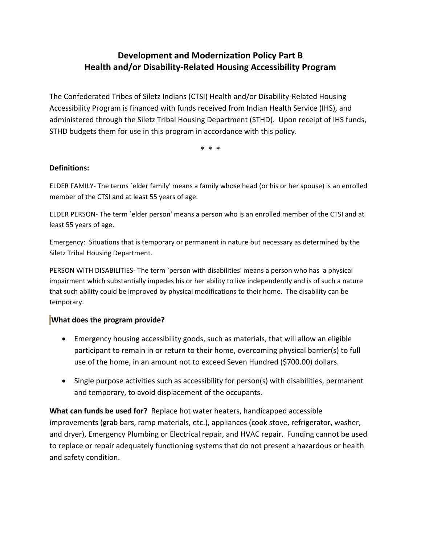## **Development and Modernization Policy Part B Health and/or Disability‐Related Housing Accessibility Program**

The Confederated Tribes of Siletz Indians (CTSI) Health and/or Disability‐Related Housing Accessibility Program is financed with funds received from Indian Health Service (IHS), and administered through the Siletz Tribal Housing Department (STHD). Upon receipt of IHS funds, STHD budgets them for use in this program in accordance with this policy.

\* \* \*

## **Definitions:**

ELDER FAMILY‐ The terms `elder family' means a family whose head (or his or her spouse) is an enrolled member of the CTSI and at least 55 years of age.

ELDER PERSON‐ The term `elder person' means a person who is an enrolled member of the CTSI and at least 55 years of age.

Emergency: Situations that is temporary or permanent in nature but necessary as determined by the Siletz Tribal Housing Department.

PERSON WITH DISABILITIES‐ The term `person with disabilities' means a person who has a physical impairment which substantially impedes his or her ability to live independently and is of such a nature that such ability could be improved by physical modifications to their home. The disability can be temporary.

## **What does the program provide?**

- Emergency housing accessibility goods, such as materials, that will allow an eligible participant to remain in or return to their home, overcoming physical barrier(s) to full use of the home, in an amount not to exceed Seven Hundred (\$700.00) dollars.
- Single purpose activities such as accessibility for person(s) with disabilities, permanent and temporary, to avoid displacement of the occupants.

**What can funds be used for?** Replace hot water heaters, handicapped accessible improvements (grab bars, ramp materials, etc.), appliances (cook stove, refrigerator, washer, and dryer), Emergency Plumbing or Electrical repair, and HVAC repair. Funding cannot be used to replace or repair adequately functioning systems that do not present a hazardous or health and safety condition.